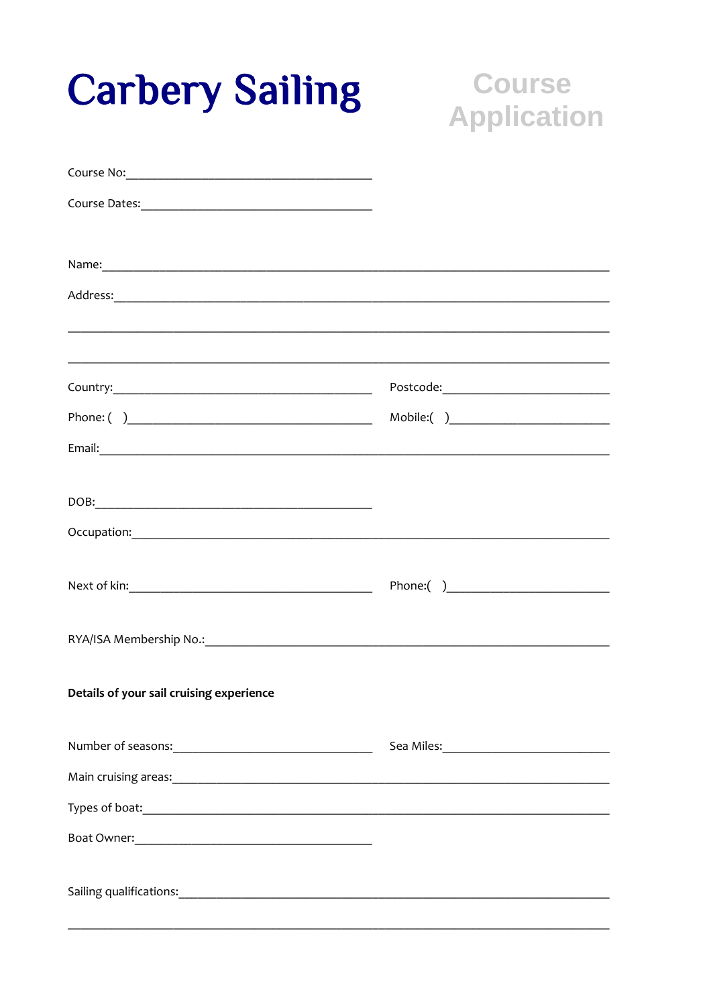| <b>Carbery Sailing</b>                                                                                                                                                                                                               | <b>Course</b><br><b>Application</b> |
|--------------------------------------------------------------------------------------------------------------------------------------------------------------------------------------------------------------------------------------|-------------------------------------|
|                                                                                                                                                                                                                                      |                                     |
|                                                                                                                                                                                                                                      |                                     |
|                                                                                                                                                                                                                                      |                                     |
| Address: Address: Address: Address: Address: Address: Address: Address: Address: Address: Address: Address: Address: Address: Address: Address: Address: Address: Address: Address: Address: Address: Address: Address: Addres       |                                     |
|                                                                                                                                                                                                                                      |                                     |
|                                                                                                                                                                                                                                      |                                     |
|                                                                                                                                                                                                                                      |                                     |
|                                                                                                                                                                                                                                      |                                     |
| Occupation: <u>contract and contract and contract and contract and contract and contract and contract and contract of the set of the set of the set of the set of the set of the set of the set of the set of the set of the set</u> |                                     |
|                                                                                                                                                                                                                                      |                                     |
| RYA/ISA Membership No.: 1999 - 2009 - 2010 - 2010 - 2010 - 2010 - 2010 - 2010 - 2010 - 2010 - 2010 - 2010 - 20                                                                                                                       |                                     |
| Details of your sail cruising experience                                                                                                                                                                                             |                                     |
|                                                                                                                                                                                                                                      |                                     |
|                                                                                                                                                                                                                                      |                                     |
|                                                                                                                                                                                                                                      |                                     |
|                                                                                                                                                                                                                                      |                                     |
|                                                                                                                                                                                                                                      |                                     |